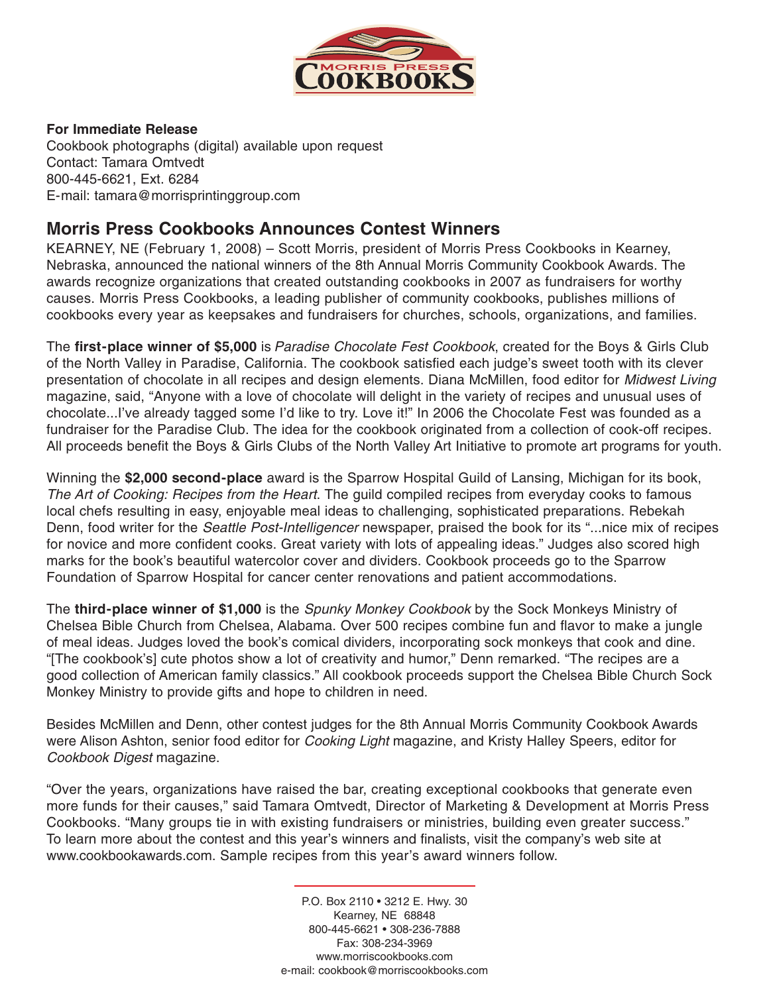

#### **For Immediate Release**

Cookbook photographs (digital) available upon request Contact: Tamara Omtvedt 800-445-6621, Ext. 6284 E-mail: tamara@morrisprintinggroup.com

# **Morris Press Cookbooks Announces Contest Winners**

KEARNEY, NE (February 1, 2008) – Scott Morris, president of Morris Press Cookbooks in Kearney, Nebraska, announced the national winners of the 8th Annual Morris Community Cookbook Awards. The awards recognize organizations that created outstanding cookbooks in 2007 as fundraisers for worthy causes. Morris Press Cookbooks, a leading publisher of community cookbooks, publishes millions of cookbooks every year as keepsakes and fundraisers for churches, schools, organizations, and families.

The **first-place winner of \$5,000** is Paradise Chocolate Fest Cookbook, created for the Boys & Girls Club of the North Valley in Paradise, California. The cookbook satisfied each judge's sweet tooth with its clever presentation of chocolate in all recipes and design elements. Diana McMillen, food editor for Midwest Living magazine, said, "Anyone with a love of chocolate will delight in the variety of recipes and unusual uses of chocolate...I've already tagged some I'd like to try. Love it!" In 2006 the Chocolate Fest was founded as a fundraiser for the Paradise Club. The idea for the cookbook originated from a collection of cook-off recipes. All proceeds benefit the Boys & Girls Clubs of the North Valley Art Initiative to promote art programs for youth.

Winning the **\$2,000 second-place** award is the Sparrow Hospital Guild of Lansing, Michigan for its book, The Art of Cooking: Recipes from the Heart. The guild compiled recipes from everyday cooks to famous local chefs resulting in easy, enjoyable meal ideas to challenging, sophisticated preparations. Rebekah Denn, food writer for the *Seattle Post-Intelligencer* newspaper, praised the book for its "...nice mix of recipes for novice and more confident cooks. Great variety with lots of appealing ideas." Judges also scored high marks for the book's beautiful watercolor cover and dividers. Cookbook proceeds go to the Sparrow Foundation of Sparrow Hospital for cancer center renovations and patient accommodations.

The **third-place winner of \$1,000** is the Spunky Monkey Cookbook by the Sock Monkeys Ministry of Chelsea Bible Church from Chelsea, Alabama. Over 500 recipes combine fun and flavor to make a jungle of meal ideas. Judges loved the book's comical dividers, incorporating sock monkeys that cook and dine. "[The cookbook's] cute photos show a lot of creativity and humor," Denn remarked. "The recipes are a good collection of American family classics." All cookbook proceeds support the Chelsea Bible Church Sock Monkey Ministry to provide gifts and hope to children in need.

Besides McMillen and Denn, other contest judges for the 8th Annual Morris Community Cookbook Awards were Alison Ashton, senior food editor for *Cooking Light* magazine, and Kristy Halley Speers, editor for Cookbook Digest magazine.

"Over the years, organizations have raised the bar, creating exceptional cookbooks that generate even more funds for their causes," said Tamara Omtvedt, Director of Marketing & Development at Morris Press Cookbooks. "Many groups tie in with existing fundraisers or ministries, building even greater success." To learn more about the contest and this year's winners and finalists, visit the company's web site at www.cookbookawards.com. Sample recipes from this year's award winners follow.

> P.O. Box 2110 • 3212 E. Hwy. 30 Kearney, NE 68848 800-445-6621 • 308-236-7888 Fax: 308-234-3969 www.morriscookbooks.com e-mail: cookbook@morriscookbooks.com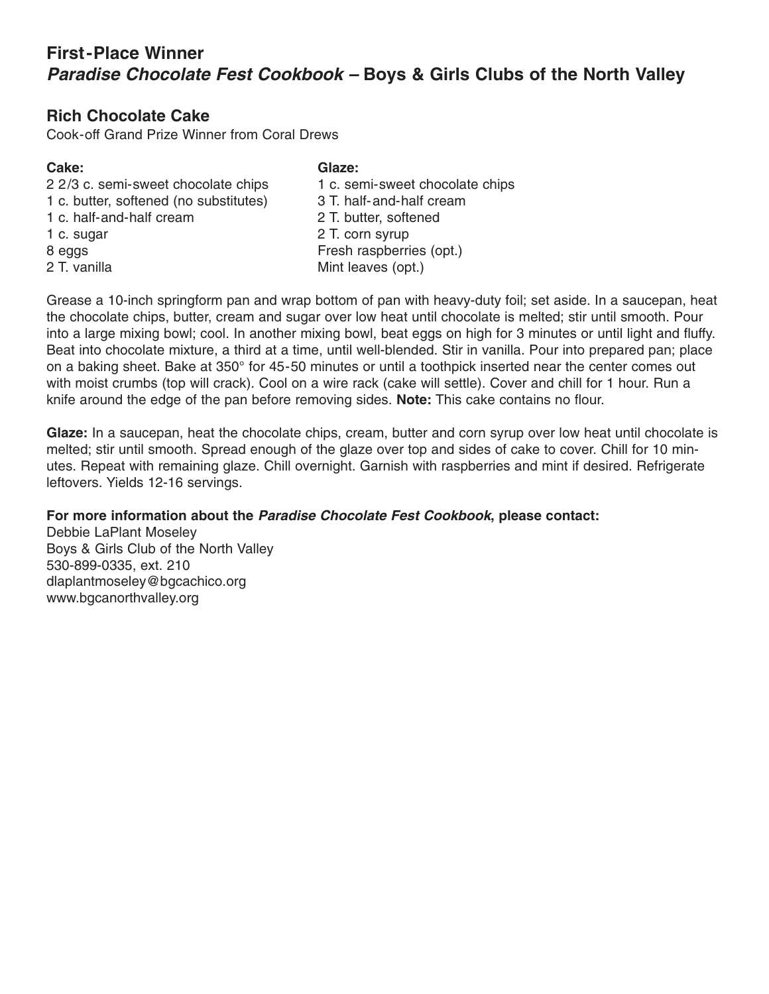# **First-Place Winner Paradise Chocolate Fest Cookbook – Boys & Girls Clubs of the North Valley**

## **Rich Chocolate Cake**

Cook-off Grand Prize Winner from Coral Drews

#### **Cake: Glaze:**

1 c. butter, softened (no substitutes) 3 T. half-and-half cream 1 c. half-and-half cream 2 T. butter, softened 1 c. sugar 2 T. corn syrup 8 eggs Fresh raspberries (opt.) 2 T. vanilla Mint leaves (opt.)

2 2/3 c. semi-sweet chocolate chips 1 c. semi-sweet chocolate chips

Grease a 10-inch springform pan and wrap bottom of pan with heavy-duty foil; set aside. In a saucepan, heat the chocolate chips, butter, cream and sugar over low heat until chocolate is melted; stir until smooth. Pour into a large mixing bowl; cool. In another mixing bowl, beat eggs on high for 3 minutes or until light and fluffy. Beat into chocolate mixture, a third at a time, until well-blended. Stir in vanilla. Pour into prepared pan; place on a baking sheet. Bake at 350° for 45-50 minutes or until a toothpick inserted near the center comes out with moist crumbs (top will crack). Cool on a wire rack (cake will settle). Cover and chill for 1 hour. Run a knife around the edge of the pan before removing sides. **Note:** This cake contains no flour.

**Glaze:** In a saucepan, heat the chocolate chips, cream, butter and corn syrup over low heat until chocolate is melted; stir until smooth. Spread enough of the glaze over top and sides of cake to cover. Chill for 10 minutes. Repeat with remaining glaze. Chill overnight. Garnish with raspberries and mint if desired. Refrigerate leftovers. Yields 12-16 servings.

### **For more information about the Paradise Chocolate Fest Cookbook, please contact:**

Debbie LaPlant Moseley Boys & Girls Club of the North Valley 530-899-0335, ext. 210 dlaplantmoseley@bgcachico.org www.bgcanorthvalley.org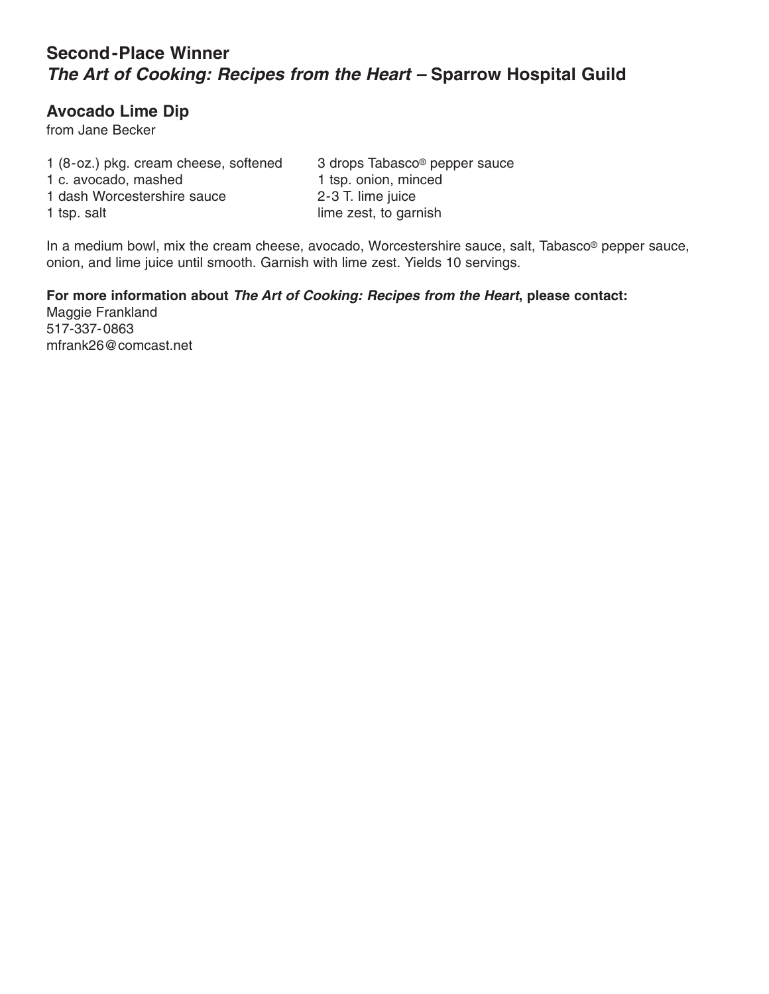# **Second-Place Winner The Art of Cooking: Recipes from the Heart – Sparrow Hospital Guild**

## **Avocado Lime Dip**

from Jane Becker

1 (8-oz.) pkg. cream cheese, softened 3 drops Tabasco® pepper sauce 1 c. avocado, mashed 1 tsp. onion, minced 1 dash Worcestershire sauce 2-3 T. lime juice 1 tsp. salt lime zest, to garnish

In a medium bowl, mix the cream cheese, avocado, Worcestershire sauce, salt, Tabasco® pepper sauce, onion, and lime juice until smooth. Garnish with lime zest. Yields 10 servings.

**For more information about The Art of Cooking: Recipes from the Heart, please contact:** Maggie Frankland 517-337-0863 mfrank26@comcast.net